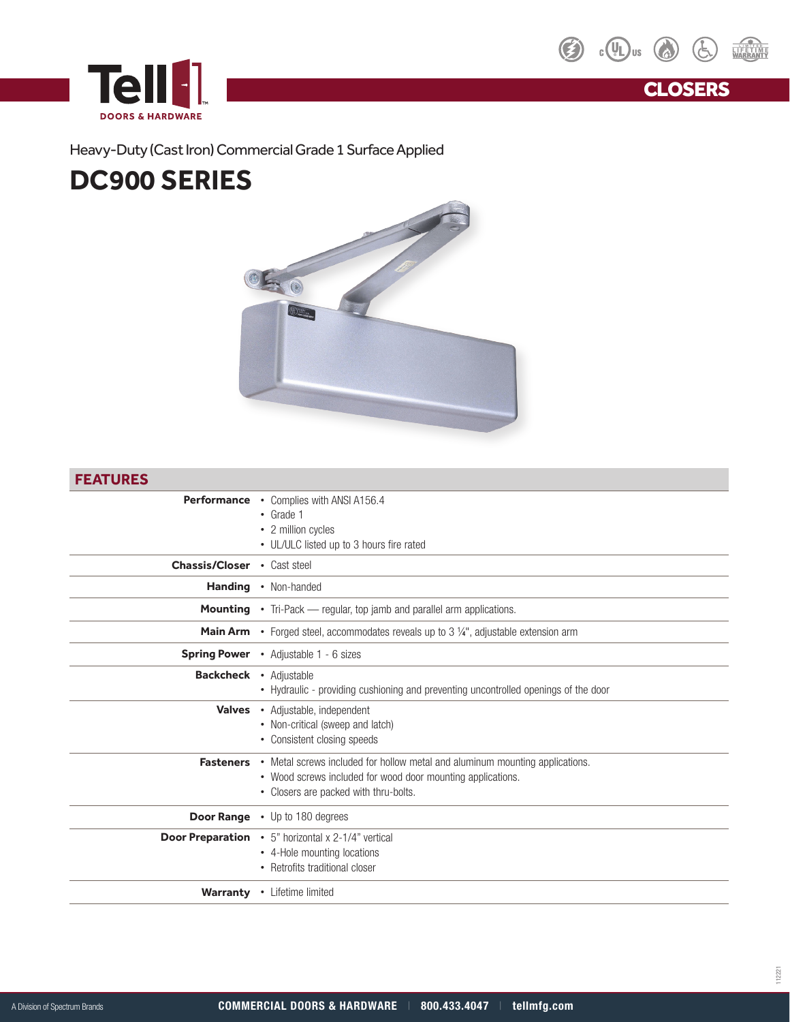



**CLOSERS** 

### Heavy-Duty (Cast Iron) Commercial Grade 1 Surface Applied

## **DC900 SERIES**



#### **FEATURES**

| Performance                   | • Complies with ANSI A156.4<br>$\cdot$ Grade 1                                              |
|-------------------------------|---------------------------------------------------------------------------------------------|
|                               | • 2 million cycles                                                                          |
|                               | • UL/ULC listed up to 3 hours fire rated                                                    |
|                               |                                                                                             |
| <b>Chassis/Closer</b>         | • Cast steel                                                                                |
| <b>Handing</b>                | • Non-handed                                                                                |
|                               | <b>Mounting</b> • Tri-Pack — regular, top jamb and parallel arm applications.               |
|                               | <b>Main Arm</b> • Forged steel, accommodates reveals up to 3 1/4", adjustable extension arm |
|                               | Spring Power • Adjustable 1 - 6 sizes                                                       |
| <b>Backcheck • Adjustable</b> | • Hydraulic - providing cushioning and preventing uncontrolled openings of the door         |
|                               |                                                                                             |
|                               | Valves • Adjustable, independent                                                            |
|                               | • Non-critical (sweep and latch)                                                            |
|                               | • Consistent closing speeds                                                                 |
| <b>Fasteners</b>              | • Metal screws included for hollow metal and aluminum mounting applications.                |
|                               | • Wood screws included for wood door mounting applications.                                 |
|                               | • Closers are packed with thru-bolts.                                                       |
|                               |                                                                                             |
|                               | <b>Door Range</b> . Up to 180 degrees                                                       |
| <b>Door Preparation</b>       | • 5" horizontal x 2-1/4" vertical                                                           |
|                               | • 4-Hole mounting locations                                                                 |
|                               | • Retrofits traditional closer                                                              |
|                               | Warranty • Lifetime limited                                                                 |
|                               |                                                                                             |